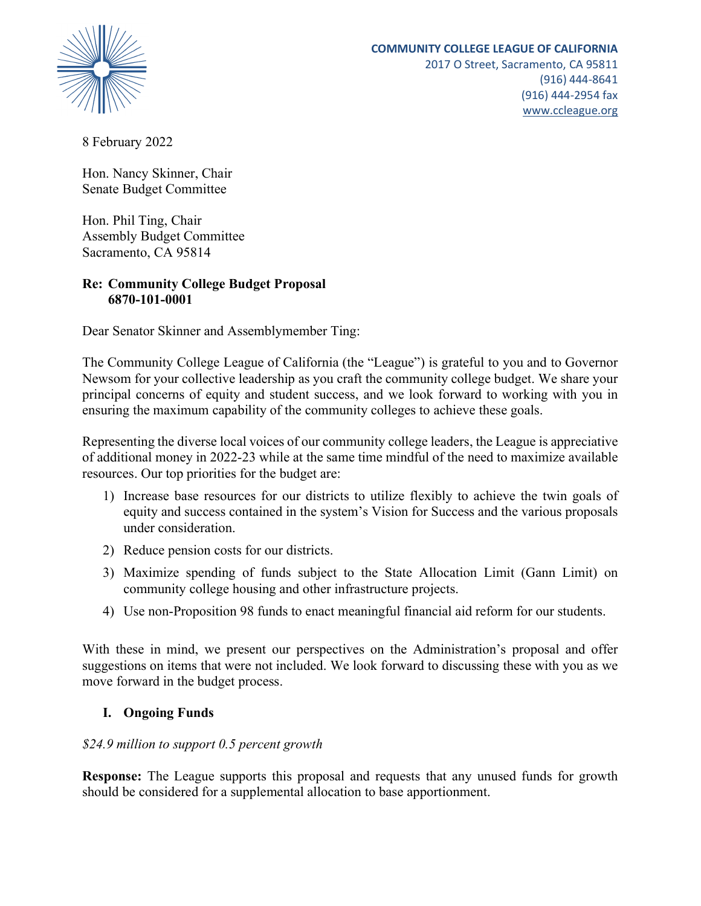

2017 O Street, Sacramento, CA 95811 (916) 444-8641 (916) 444-2954 fax www.ccleague.org

8 February 2022

Hon. Nancy Skinner, Chair Senate Budget Committee

Hon. Phil Ting, Chair Assembly Budget Committee Sacramento, CA 95814

## **Re: Community College Budget Proposal 6870-101-0001**

Dear Senator Skinner and Assemblymember Ting:

The Community College League of California (the "League") is grateful to you and to Governor Newsom for your collective leadership as you craft the community college budget. We share your principal concerns of equity and student success, and we look forward to working with you in ensuring the maximum capability of the community colleges to achieve these goals.

Representing the diverse local voices of our community college leaders, the League is appreciative of additional money in 2022-23 while at the same time mindful of the need to maximize available resources. Our top priorities for the budget are:

- 1) Increase base resources for our districts to utilize flexibly to achieve the twin goals of equity and success contained in the system's Vision for Success and the various proposals under consideration.
- 2) Reduce pension costs for our districts.
- 3) Maximize spending of funds subject to the State Allocation Limit (Gann Limit) on community college housing and other infrastructure projects.
- 4) Use non-Proposition 98 funds to enact meaningful financial aid reform for our students.

With these in mind, we present our perspectives on the Administration's proposal and offer suggestions on items that were not included. We look forward to discussing these with you as we move forward in the budget process.

## **I. Ongoing Funds**

## *\$24.9 million to support 0.5 percent growth*

**Response:** The League supports this proposal and requests that any unused funds for growth should be considered for a supplemental allocation to base apportionment.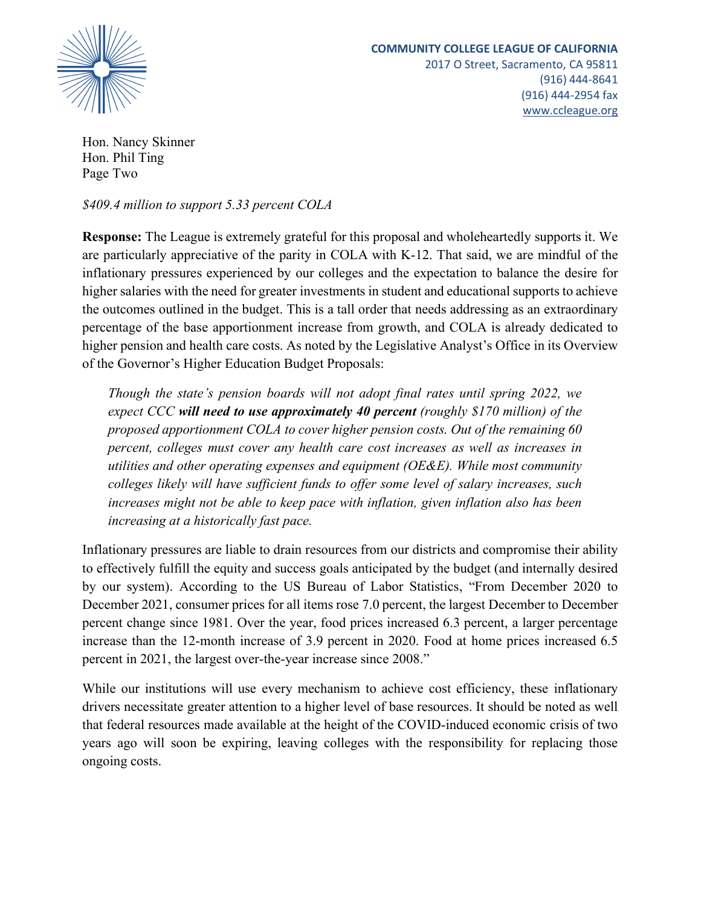

Hon. Nancy Skinner Hon. Phil Ting Page Two

*\$409.4 million to support 5.33 percent COLA*

**Response:** The League is extremely grateful for this proposal and wholeheartedly supports it. We are particularly appreciative of the parity in COLA with K-12. That said, we are mindful of the inflationary pressures experienced by our colleges and the expectation to balance the desire for higher salaries with the need for greater investments in student and educational supports to achieve the outcomes outlined in the budget. This is a tall order that needs addressing as an extraordinary percentage of the base apportionment increase from growth, and COLA is already dedicated to higher pension and health care costs. As noted by the Legislative Analyst's Office in its Overview of the Governor's Higher Education Budget Proposals:

*Though the state's pension boards will not adopt final rates until spring 2022, we expect CCC will need to use approximately 40 percent (roughly \$170 million) of the proposed apportionment COLA to cover higher pension costs. Out of the remaining 60 percent, colleges must cover any health care cost increases as well as increases in utilities and other operating expenses and equipment (OE&E). While most community colleges likely will have sufficient funds to offer some level of salary increases, such increases might not be able to keep pace with inflation, given inflation also has been increasing at a historically fast pace.*

Inflationary pressures are liable to drain resources from our districts and compromise their ability to effectively fulfill the equity and success goals anticipated by the budget (and internally desired by our system). According to the US Bureau of Labor Statistics, "From December 2020 to December 2021, consumer prices for all items rose 7.0 percent, the largest December to December percent change since 1981. Over the year, food prices increased 6.3 percent, a larger percentage increase than the 12-month increase of 3.9 percent in 2020. Food at home prices increased 6.5 percent in 2021, the largest over-the-year increase since 2008."

While our institutions will use every mechanism to achieve cost efficiency, these inflationary drivers necessitate greater attention to a higher level of base resources. It should be noted as well that federal resources made available at the height of the COVID-induced economic crisis of two years ago will soon be expiring, leaving colleges with the responsibility for replacing those ongoing costs.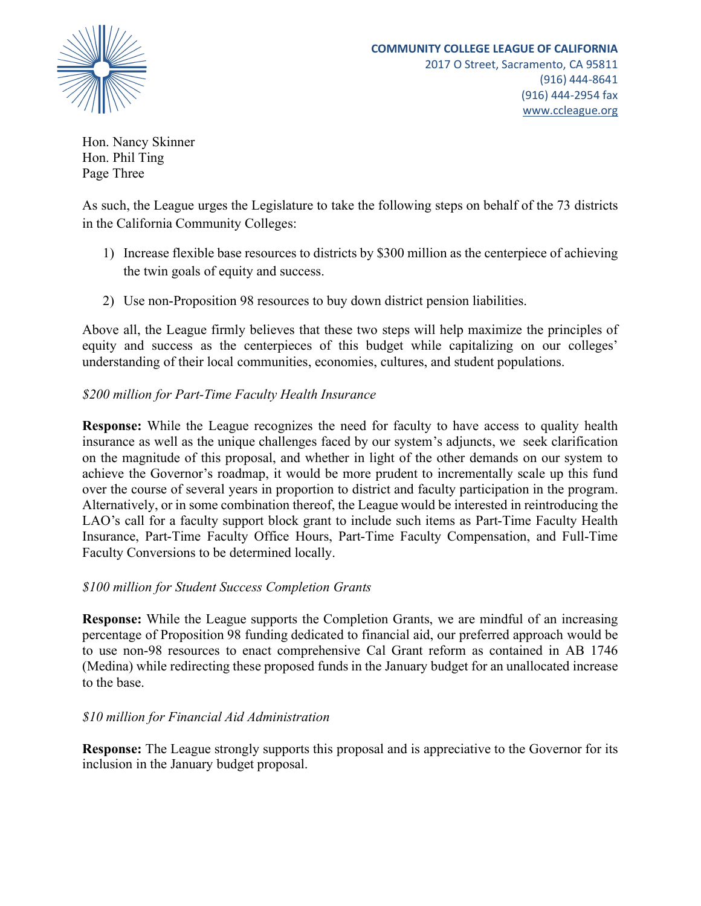

www.ccleague.org

Hon. Nancy Skinner Hon. Phil Ting Page Three

As such, the League urges the Legislature to take the following steps on behalf of the 73 districts in the California Community Colleges:

- 1) Increase flexible base resources to districts by \$300 million as the centerpiece of achieving the twin goals of equity and success.
- 2) Use non-Proposition 98 resources to buy down district pension liabilities.

Above all, the League firmly believes that these two steps will help maximize the principles of equity and success as the centerpieces of this budget while capitalizing on our colleges' understanding of their local communities, economies, cultures, and student populations.

# *\$200 million for Part-Time Faculty Health Insurance*

**Response:** While the League recognizes the need for faculty to have access to quality health insurance as well as the unique challenges faced by our system's adjuncts, we seek clarification on the magnitude of this proposal, and whether in light of the other demands on our system to achieve the Governor's roadmap, it would be more prudent to incrementally scale up this fund over the course of several years in proportion to district and faculty participation in the program. Alternatively, or in some combination thereof, the League would be interested in reintroducing the LAO's call for a faculty support block grant to include such items as Part-Time Faculty Health Insurance, Part-Time Faculty Office Hours, Part-Time Faculty Compensation, and Full-Time Faculty Conversions to be determined locally.

## *\$100 million for Student Success Completion Grants*

**Response:** While the League supports the Completion Grants, we are mindful of an increasing percentage of Proposition 98 funding dedicated to financial aid, our preferred approach would be to use non-98 resources to enact comprehensive Cal Grant reform as contained in AB 1746 (Medina) while redirecting these proposed funds in the January budget for an unallocated increase to the base.

## *\$10 million for Financial Aid Administration*

**Response:** The League strongly supports this proposal and is appreciative to the Governor for its inclusion in the January budget proposal.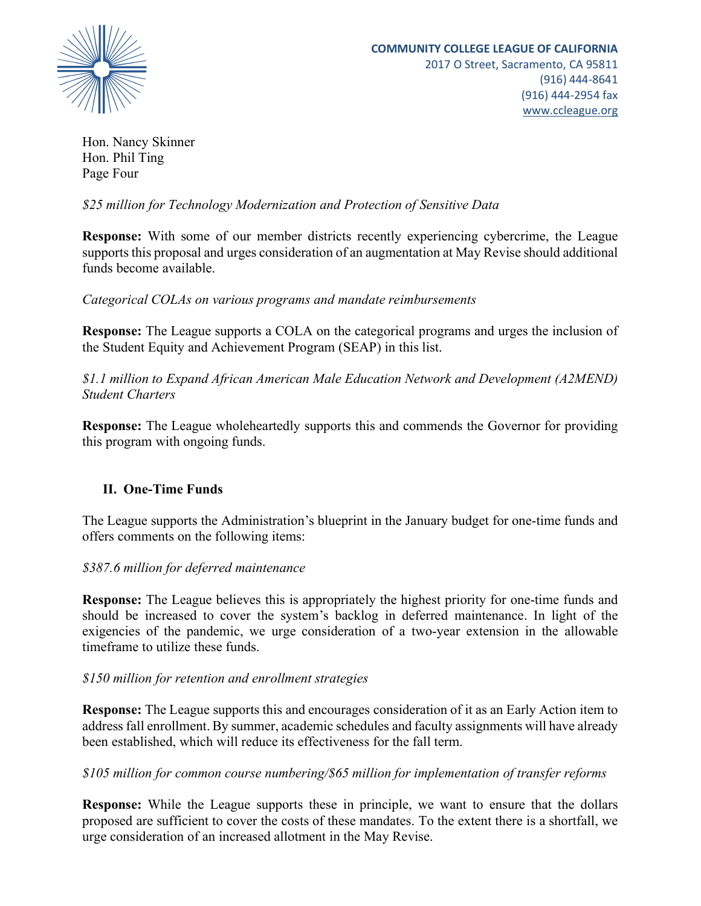

Hon. Nancy Skinner Hon. Phil Ting Page Four

*\$25 million for Technology Modernization and Protection of Sensitive Data*

**Response:** With some of our member districts recently experiencing cybercrime, the League supports this proposal and urges consideration of an augmentation at May Revise should additional funds become available.

*Categorical COLAs on various programs and mandate reimbursements*

**Response:** The League supports a COLA on the categorical programs and urges the inclusion of the Student Equity and Achievement Program (SEAP) in this list.

*\$1.1 million to Expand African American Male Education Network and Development (A2MEND) Student Charters*

**Response:** The League wholeheartedly supports this and commends the Governor for providing this program with ongoing funds.

## **II. One-Time Funds**

The League supports the Administration's blueprint in the January budget for one-time funds and offers comments on the following items:

## *\$387.6 million for deferred maintenance*

**Response:** The League believes this is appropriately the highest priority for one-time funds and should be increased to cover the system's backlog in deferred maintenance. In light of the exigencies of the pandemic, we urge consideration of a two-year extension in the allowable timeframe to utilize these funds.

## *\$150 million for retention and enrollment strategies*

**Response:** The League supports this and encourages consideration of it as an Early Action item to addressfall enrollment. By summer, academic schedules and faculty assignments will have already been established, which will reduce its effectiveness for the fall term.

## *\$105 million for common course numbering/\$65 million for implementation of transfer reforms*

**Response:** While the League supports these in principle, we want to ensure that the dollars proposed are sufficient to cover the costs of these mandates. To the extent there is a shortfall, we urge consideration of an increased allotment in the May Revise.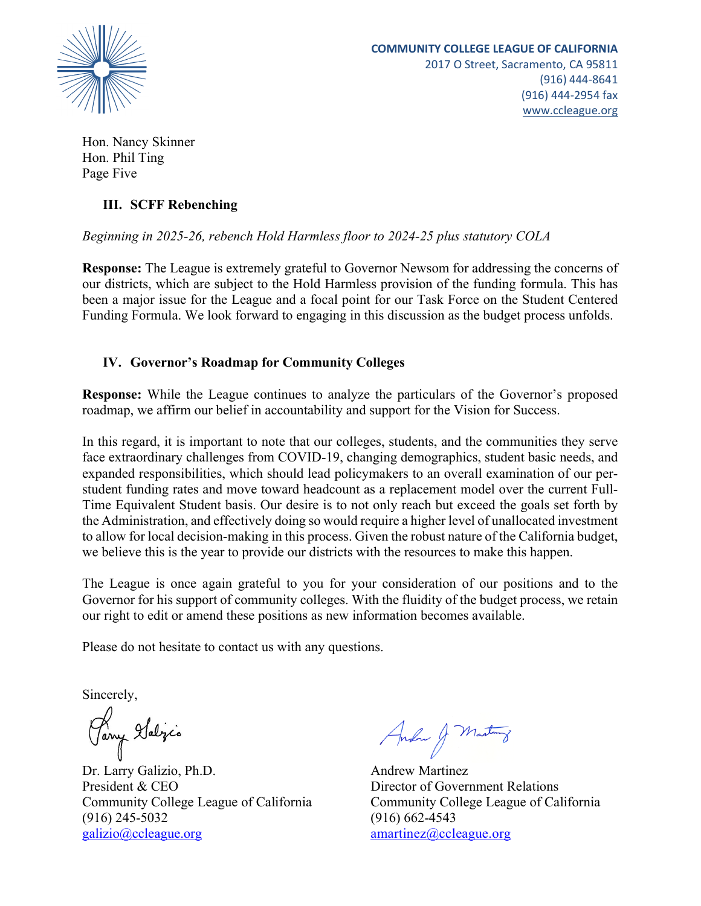

Hon. Nancy Skinner Hon. Phil Ting Page Five

## **III. SCFF Rebenching**

# *Beginning in 2025-26, rebench Hold Harmless floor to 2024-25 plus statutory COLA*

**Response:** The League is extremely grateful to Governor Newsom for addressing the concerns of our districts, which are subject to the Hold Harmless provision of the funding formula. This has been a major issue for the League and a focal point for our Task Force on the Student Centered Funding Formula. We look forward to engaging in this discussion as the budget process unfolds.

# **IV. Governor's Roadmap for Community Colleges**

**Response:** While the League continues to analyze the particulars of the Governor's proposed roadmap, we affirm our belief in accountability and support for the Vision for Success.

In this regard, it is important to note that our colleges, students, and the communities they serve face extraordinary challenges from COVID-19, changing demographics, student basic needs, and expanded responsibilities, which should lead policymakers to an overall examination of our perstudent funding rates and move toward headcount as a replacement model over the current Full-Time Equivalent Student basis. Our desire is to not only reach but exceed the goals set forth by the Administration, and effectively doing so would require a higher level of unallocated investment to allow for local decision-making in this process. Given the robust nature of the California budget, we believe this is the year to provide our districts with the resources to make this happen.

The League is once again grateful to you for your consideration of our positions and to the Governor for his support of community colleges. With the fluidity of the budget process, we retain our right to edit or amend these positions as new information becomes available.

Please do not hesitate to contact us with any questions.

Sincerely,

Pany Islijis

Dr. Larry Galizio, Ph.D. Andrew Martinez President & CEO Director of Government Relations Community College League of California Community College League of California (916) 245-5032 (916) 662-4543 galizio@ccleague.org amartinez@ccleague.org

Andre J Mastro